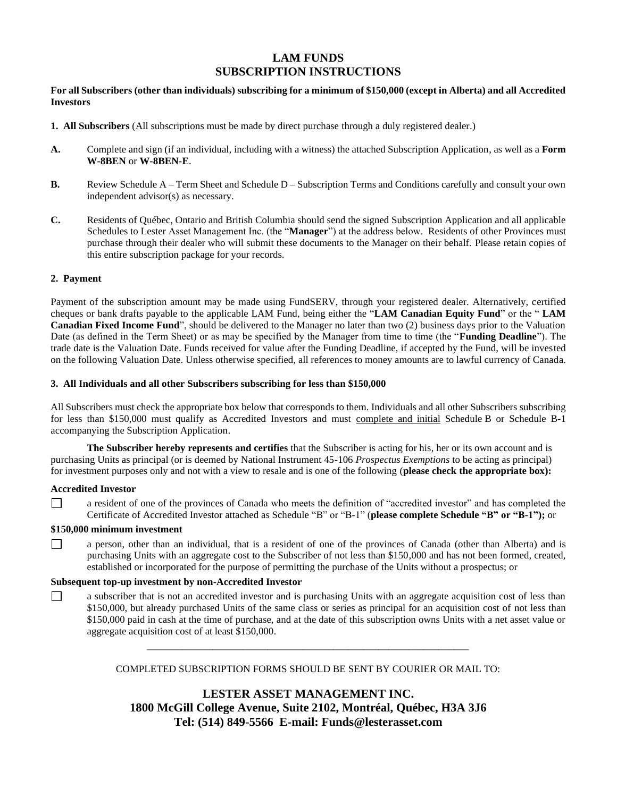# **LAM FUNDS SUBSCRIPTION INSTRUCTIONS**

**For all Subscribers (other than individuals) subscribing for a minimum of \$150,000 (except in Alberta) and all Accredited Investors**

- **1. All Subscribers** (All subscriptions must be made by direct purchase through a duly registered dealer.)
- **A.** Complete and sign (if an individual, including with a witness) the attached Subscription Application, as well as a **Form W-8BEN** or **W-8BEN-E**.
- **B.** Review Schedule A Term Sheet and Schedule D Subscription Terms and Conditions carefully and consult your own independent advisor(s) as necessary.
- **C.** Residents of Québec, Ontario and British Columbia should send the signed Subscription Application and all applicable Schedules to Lester Asset Management Inc. (the "**Manager**") at the address below. Residents of other Provinces must purchase through their dealer who will submit these documents to the Manager on their behalf. Please retain copies of this entire subscription package for your records.

### **2. Payment**

Payment of the subscription amount may be made using FundSERV, through your registered dealer. Alternatively, certified cheques or bank drafts payable to the applicable LAM Fund, being either the "**LAM Canadian Equity Fund**" or the " **LAM Canadian Fixed Income Fund**", should be delivered to the Manager no later than two (2) business days prior to the Valuation Date (as defined in the Term Sheet) or as may be specified by the Manager from time to time (the "**Funding Deadline**"). The trade date is the Valuation Date. Funds received for value after the Funding Deadline, if accepted by the Fund, will be invested on the following Valuation Date. Unless otherwise specified, all references to money amounts are to lawful currency of Canada.

### **3. All Individuals and all other Subscribers subscribing for less than \$150,000**

All Subscribers must check the appropriate box below that corresponds to them. Individuals and all other Subscribers subscribing for less than \$150,000 must qualify as Accredited Investors and must complete and initial Schedule B or Schedule B-1 accompanying the Subscription Application.

**The Subscriber hereby represents and certifies** that the Subscriber is acting for his, her or its own account and is purchasing Units as principal (or is deemed by National Instrument 45-106 *Prospectus Exemptions* to be acting as principal) for investment purposes only and not with a view to resale and is one of the following (**please check the appropriate box):**

### **Accredited Investor**

 $\Box$ 

a resident of one of the provinces of Canada who meets the definition of "accredited investor" and has completed the Certificate of Accredited Investor attached as Schedule "B" or "B-1" (**please complete Schedule "B" or "B-1");** or

### **\$150,000 minimum investment**

a person, other than an individual, that is a resident of one of the provinces of Canada (other than Alberta) and is  $\perp$ purchasing Units with an aggregate cost to the Subscriber of not less than \$150,000 and has not been formed, created, established or incorporated for the purpose of permitting the purchase of the Units without a prospectus; or

### **Subsequent top-up investment by non-Accredited Investor**

 $\Box$ a subscriber that is not an accredited investor and is purchasing Units with an aggregate acquisition cost of less than \$150,000, but already purchased Units of the same class or series as principal for an acquisition cost of not less than \$150,000 paid in cash at the time of purchase, and at the date of this subscription owns Units with a net asset value or aggregate acquisition cost of at least \$150,000.

COMPLETED SUBSCRIPTION FORMS SHOULD BE SENT BY COURIER OR MAIL TO:

\_\_\_\_\_\_\_\_\_\_\_\_\_\_\_\_\_\_\_\_\_\_\_\_\_\_\_\_\_\_\_\_\_\_\_\_\_\_\_\_\_\_\_\_\_\_\_\_\_\_\_\_\_\_\_\_\_\_\_\_\_\_\_\_

**LESTER ASSET MANAGEMENT INC. 1800 McGill College Avenue, Suite 2102, Montréal, Québec, H3A 3J6 Tel: (514) 849-5566 E-mail: Funds@lesterasset.com**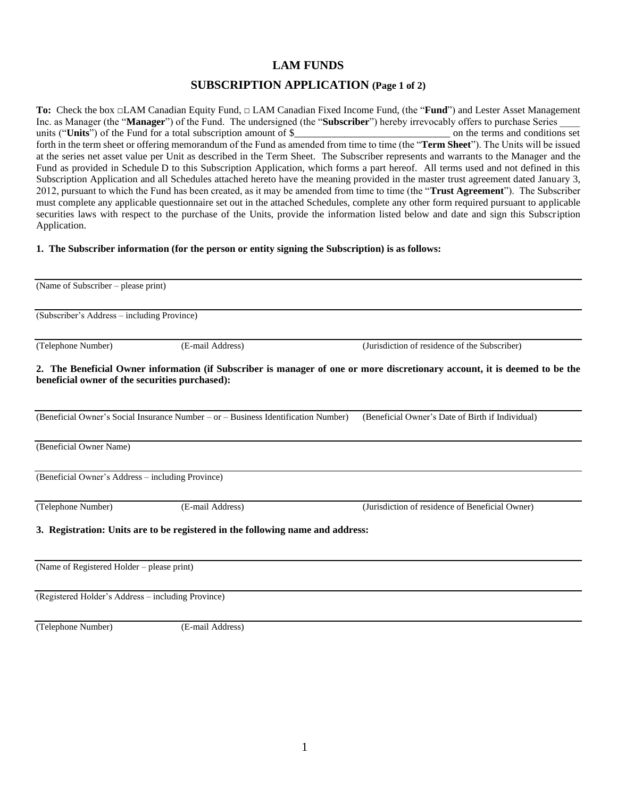# **LAM FUNDS**

# **SUBSCRIPTION APPLICATION (Page 1 of 2)**

**To:** Check the box □LAM Canadian Equity Fund, □ LAM Canadian Fixed Income Fund, (the "**Fund**") and Lester Asset Management Inc. as Manager (the "**Manager**") of the Fund. The undersigned (the "**Subscriber**") hereby irrevocably offers to purchase Series \_\_\_\_ units ("Units") of the Fund for a total subscription amount of \$<br>on the terms and conditions set forth in the term sheet or offering memorandum of the Fund as amended from time to time (the "**Term Sheet**"). The Units will be issued at the series net asset value per Unit as described in the Term Sheet. The Subscriber represents and warrants to the Manager and the Fund as provided in Schedule D to this Subscription Application, which forms a part hereof. All terms used and not defined in this Subscription Application and all Schedules attached hereto have the meaning provided in the master trust agreement dated January 3, 2012, pursuant to which the Fund has been created, as it may be amended from time to time (the "**Trust Agreement**"). The Subscriber must complete any applicable questionnaire set out in the attached Schedules, complete any other form required pursuant to applicable securities laws with respect to the purchase of the Units, provide the information listed below and date and sign this Subscription Application.

# **1. The Subscriber information (for the person or entity signing the Subscription) is as follows:**

| (Name of Subscriber – please print)                |                                                                                    |                                                                                                                            |  |  |
|----------------------------------------------------|------------------------------------------------------------------------------------|----------------------------------------------------------------------------------------------------------------------------|--|--|
| (Subscriber's Address – including Province)        |                                                                                    |                                                                                                                            |  |  |
| (Telephone Number)                                 | (E-mail Address)                                                                   | (Jurisdiction of residence of the Subscriber)                                                                              |  |  |
| beneficial owner of the securities purchased):     |                                                                                    | 2. The Beneficial Owner information (if Subscriber is manager of one or more discretionary account, it is deemed to be the |  |  |
|                                                    | (Beneficial Owner's Social Insurance Number – or – Business Identification Number) | (Beneficial Owner's Date of Birth if Individual)                                                                           |  |  |
| (Beneficial Owner Name)                            |                                                                                    |                                                                                                                            |  |  |
| (Beneficial Owner's Address - including Province)  |                                                                                    |                                                                                                                            |  |  |
| (Telephone Number)                                 | (E-mail Address)                                                                   | (Jurisdiction of residence of Beneficial Owner)                                                                            |  |  |
|                                                    | 3. Registration: Units are to be registered in the following name and address:     |                                                                                                                            |  |  |
| (Name of Registered Holder – please print)         |                                                                                    |                                                                                                                            |  |  |
| (Registered Holder's Address – including Province) |                                                                                    |                                                                                                                            |  |  |

(Telephone Number) (E-mail Address)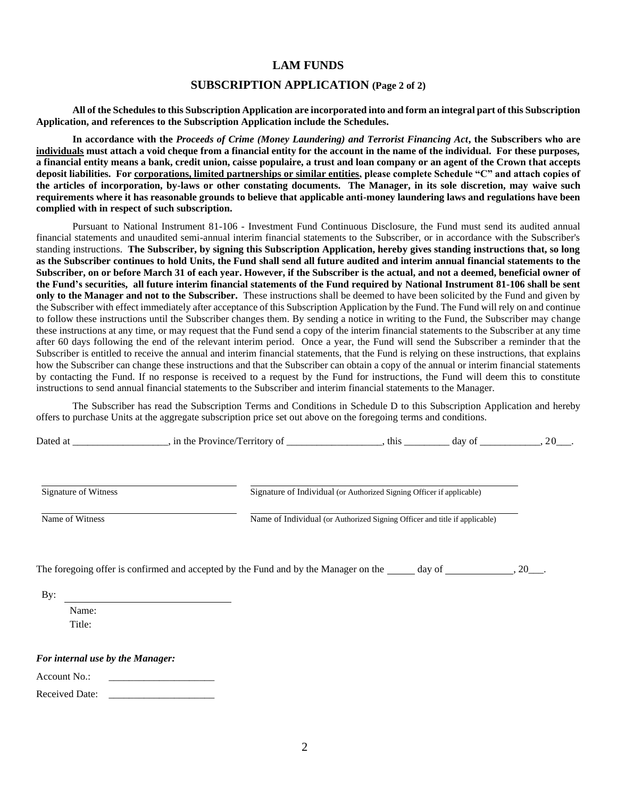### **LAM FUNDS**

## **SUBSCRIPTION APPLICATION (Page 2 of 2)**

**All of the Schedules to this Subscription Application are incorporated into and form an integral part of this Subscription Application, and references to the Subscription Application include the Schedules.**

**In accordance with the** *Proceeds of Crime (Money Laundering) and Terrorist Financing Act***, the Subscribers who are individuals must attach a void cheque from a financial entity for the account in the name of the individual. For these purposes, a financial entity means a bank, credit union, caisse populaire, a trust and loan company or an agent of the Crown that accepts deposit liabilities. For corporations, limited partnerships or similar entities, please complete Schedule "C" and attach copies of the articles of incorporation, by-laws or other constating documents. The Manager, in its sole discretion, may waive such requirements where it has reasonable grounds to believe that applicable anti-money laundering laws and regulations have been complied with in respect of such subscription.**

Pursuant to National Instrument 81-106 - Investment Fund Continuous Disclosure, the Fund must send its audited annual financial statements and unaudited semi-annual interim financial statements to the Subscriber, or in accordance with the Subscriber's standing instructions. **The Subscriber, by signing this Subscription Application, hereby gives standing instructions that, so long as the Subscriber continues to hold Units, the Fund shall send all future audited and interim annual financial statements to the Subscriber, on or before March 31 of each year. However, if the Subscriber is the actual, and not a deemed, beneficial owner of the Fund's securities, all future interim financial statements of the Fund required by National Instrument 81-106 shall be sent only to the Manager and not to the Subscriber.** These instructions shall be deemed to have been solicited by the Fund and given by the Subscriber with effect immediately after acceptance of this Subscription Application by the Fund. The Fund will rely on and continue to follow these instructions until the Subscriber changes them. By sending a notice in writing to the Fund, the Subscriber may change these instructions at any time, or may request that the Fund send a copy of the interim financial statements to the Subscriber at any time after 60 days following the end of the relevant interim period. Once a year, the Fund will send the Subscriber a reminder that the Subscriber is entitled to receive the annual and interim financial statements, that the Fund is relying on these instructions, that explains how the Subscriber can change these instructions and that the Subscriber can obtain a copy of the annual or interim financial statements by contacting the Fund. If no response is received to a request by the Fund for instructions, the Fund will deem this to constitute instructions to send annual financial statements to the Subscriber and interim financial statements to the Manager.

The Subscriber has read the Subscription Terms and Conditions in Schedule D to this Subscription Application and hereby offers to purchase Units at the aggregate subscription price set out above on the foregoing terms and conditions.

| $\overline{\phantom{a}}$<br>Dat<br>.<br>.or<br>$\sim$ - $\sim$<br>.<br>$\sim$ $\sim$<br>чих |  | da <sup>,</sup><br>. . |  |
|---------------------------------------------------------------------------------------------|--|------------------------|--|
|---------------------------------------------------------------------------------------------|--|------------------------|--|

Signature of Witness Signature of Individual (or Authorized Signing Officer if applicable)

Name of Witness Name of Individual (or Authorized Signing Officer and title if applicable)

The foregoing offer is confirmed and accepted by the Fund and by the Manager on the  $\_\_\_\_$  day of  $\_\_\_\_\_$ , 20 $\_\_\_\_\$ 

By:

Name: Title:

*For internal use by the Manager:*

Account No.:

Received Date: \_\_\_\_\_\_\_\_\_\_\_\_\_\_\_\_\_\_\_\_\_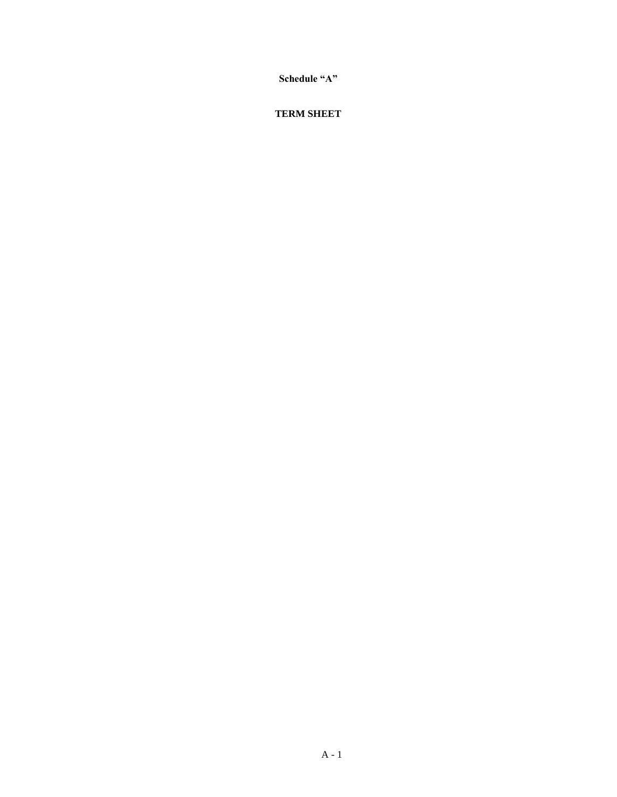**Schedule "A"**

# **TERM SHEET**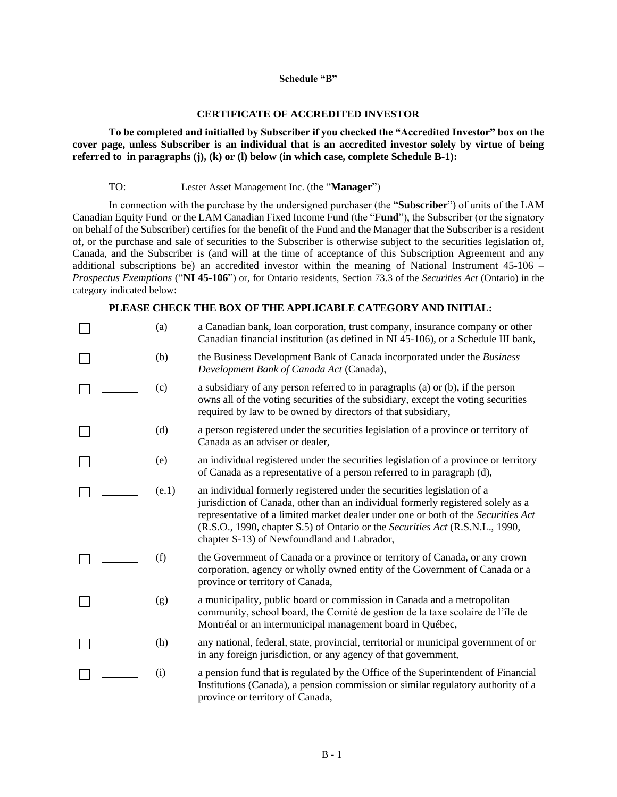### **Schedule "B"**

### **CERTIFICATE OF ACCREDITED INVESTOR**

**To be completed and initialled by Subscriber if you checked the "Accredited Investor" box on the cover page, unless Subscriber is an individual that is an accredited investor solely by virtue of being referred to in paragraphs (j), (k) or (l) below (in which case, complete Schedule B-1):**

### TO: Lester Asset Management Inc. (the "**Manager**")

In connection with the purchase by the undersigned purchaser (the "**Subscriber**") of units of the LAM Canadian Equity Fund or the LAM Canadian Fixed Income Fund (the "**Fund**"), the Subscriber (or the signatory on behalf of the Subscriber) certifies for the benefit of the Fund and the Manager that the Subscriber is a resident of, or the purchase and sale of securities to the Subscriber is otherwise subject to the securities legislation of, Canada, and the Subscriber is (and will at the time of acceptance of this Subscription Agreement and any additional subscriptions be) an accredited investor within the meaning of National Instrument 45-106 – *Prospectus Exemptions* ("**NI 45-106**") or, for Ontario residents, Section 73.3 of the *Securities Act* (Ontario) in the category indicated below:

### **PLEASE CHECK THE BOX OF THE APPLICABLE CATEGORY AND INITIAL:**

|  | (a)   | a Canadian bank, loan corporation, trust company, insurance company or other<br>Canadian financial institution (as defined in NI 45-106), or a Schedule III bank,                                                                                                                                                                                                                |
|--|-------|----------------------------------------------------------------------------------------------------------------------------------------------------------------------------------------------------------------------------------------------------------------------------------------------------------------------------------------------------------------------------------|
|  | (b)   | the Business Development Bank of Canada incorporated under the Business<br>Development Bank of Canada Act (Canada),                                                                                                                                                                                                                                                              |
|  | (c)   | a subsidiary of any person referred to in paragraphs (a) or (b), if the person<br>owns all of the voting securities of the subsidiary, except the voting securities<br>required by law to be owned by directors of that subsidiary,                                                                                                                                              |
|  | (d)   | a person registered under the securities legislation of a province or territory of<br>Canada as an adviser or dealer,                                                                                                                                                                                                                                                            |
|  | (e)   | an individual registered under the securities legislation of a province or territory<br>of Canada as a representative of a person referred to in paragraph (d),                                                                                                                                                                                                                  |
|  | (e.1) | an individual formerly registered under the securities legislation of a<br>jurisdiction of Canada, other than an individual formerly registered solely as a<br>representative of a limited market dealer under one or both of the Securities Act<br>(R.S.O., 1990, chapter S.5) of Ontario or the Securities Act (R.S.N.L., 1990,<br>chapter S-13) of Newfoundland and Labrador, |
|  | (f)   | the Government of Canada or a province or territory of Canada, or any crown<br>corporation, agency or wholly owned entity of the Government of Canada or a<br>province or territory of Canada,                                                                                                                                                                                   |
|  | (g)   | a municipality, public board or commission in Canada and a metropolitan<br>community, school board, the Comité de gestion de la taxe scolaire de l'île de<br>Montréal or an intermunicipal management board in Québec,                                                                                                                                                           |
|  | (h)   | any national, federal, state, provincial, territorial or municipal government of or<br>in any foreign jurisdiction, or any agency of that government,                                                                                                                                                                                                                            |
|  | (i)   | a pension fund that is regulated by the Office of the Superintendent of Financial<br>Institutions (Canada), a pension commission or similar regulatory authority of a<br>province or territory of Canada,                                                                                                                                                                        |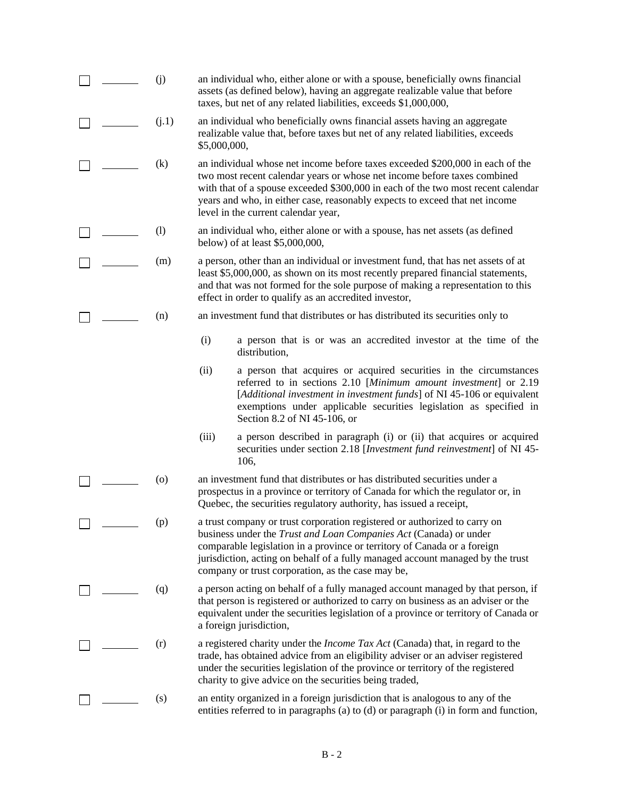|  | (i)     | an individual who, either alone or with a spouse, beneficially owns financial<br>assets (as defined below), having an aggregate realizable value that before<br>taxes, but net of any related liabilities, exceeds \$1,000,000,                                                                                                                                     |
|--|---------|---------------------------------------------------------------------------------------------------------------------------------------------------------------------------------------------------------------------------------------------------------------------------------------------------------------------------------------------------------------------|
|  | (j.1)   | an individual who beneficially owns financial assets having an aggregate<br>realizable value that, before taxes but net of any related liabilities, exceeds<br>\$5,000,000,                                                                                                                                                                                         |
|  | (k)     | an individual whose net income before taxes exceeded \$200,000 in each of the<br>two most recent calendar years or whose net income before taxes combined<br>with that of a spouse exceeded \$300,000 in each of the two most recent calendar<br>years and who, in either case, reasonably expects to exceed that net income<br>level in the current calendar year, |
|  | (1)     | an individual who, either alone or with a spouse, has net assets (as defined<br>below) of at least \$5,000,000,                                                                                                                                                                                                                                                     |
|  | (m)     | a person, other than an individual or investment fund, that has net assets of at<br>least \$5,000,000, as shown on its most recently prepared financial statements,<br>and that was not formed for the sole purpose of making a representation to this<br>effect in order to qualify as an accredited investor,                                                     |
|  | (n)     | an investment fund that distributes or has distributed its securities only to                                                                                                                                                                                                                                                                                       |
|  |         | (i)<br>a person that is or was an accredited investor at the time of the<br>distribution,                                                                                                                                                                                                                                                                           |
|  |         | a person that acquires or acquired securities in the circumstances<br>(ii)<br>referred to in sections 2.10 [Minimum amount investment] or 2.19<br>[Additional investment in investment funds] of NI 45-106 or equivalent<br>exemptions under applicable securities legislation as specified in<br>Section 8.2 of NI 45-106, or                                      |
|  |         | a person described in paragraph (i) or (ii) that acquires or acquired<br>(iii)<br>securities under section 2.18 [Investment fund reinvestment] of NI 45-<br>106,                                                                                                                                                                                                    |
|  | $\circ$ | an investment fund that distributes or has distributed securities under a<br>prospectus in a province or territory of Canada for which the regulator or, in<br>Quebec, the securities regulatory authority, has issued a receipt,                                                                                                                                   |
|  | (p)     | a trust company or trust corporation registered or authorized to carry on<br>business under the Trust and Loan Companies Act (Canada) or under<br>comparable legislation in a province or territory of Canada or a foreign<br>jurisdiction, acting on behalf of a fully managed account managed by the trust<br>company or trust corporation, as the case may be,   |
|  | (q)     | a person acting on behalf of a fully managed account managed by that person, if<br>that person is registered or authorized to carry on business as an adviser or the<br>equivalent under the securities legislation of a province or territory of Canada or<br>a foreign jurisdiction,                                                                              |
|  | (r)     | a registered charity under the <i>Income Tax Act</i> (Canada) that, in regard to the<br>trade, has obtained advice from an eligibility adviser or an adviser registered<br>under the securities legislation of the province or territory of the registered<br>charity to give advice on the securities being traded,                                                |
|  | (s)     | an entity organized in a foreign jurisdiction that is analogous to any of the<br>entities referred to in paragraphs (a) to (d) or paragraph (i) in form and function,                                                                                                                                                                                               |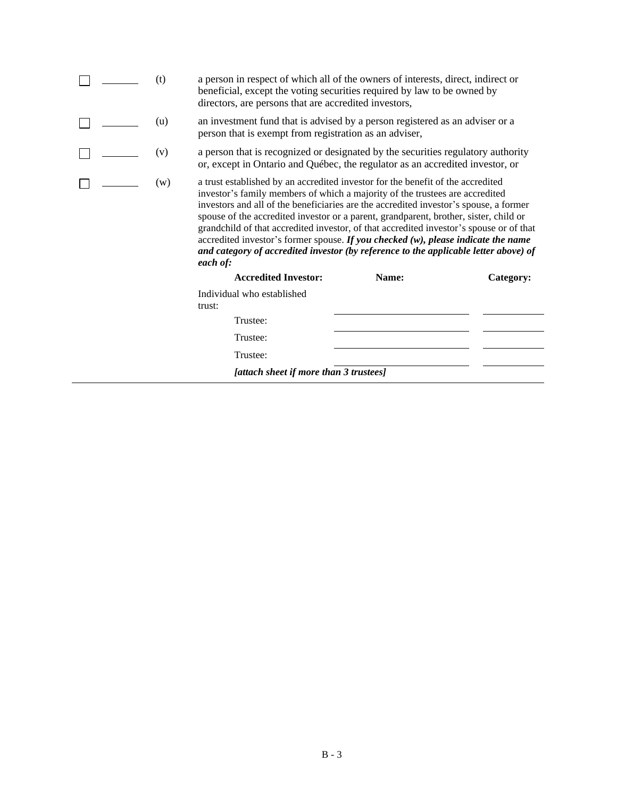| (t)                                    | directors, are persons that are accredited investors,         | a person in respect of which all of the owners of interests, direct, indirect or<br>beneficial, except the voting securities required by law to be owned by                                                                                                                                                                                                                                                                                                                                                                                                                                                                  |           |  |
|----------------------------------------|---------------------------------------------------------------|------------------------------------------------------------------------------------------------------------------------------------------------------------------------------------------------------------------------------------------------------------------------------------------------------------------------------------------------------------------------------------------------------------------------------------------------------------------------------------------------------------------------------------------------------------------------------------------------------------------------------|-----------|--|
|                                        | (u)<br>person that is exempt from registration as an adviser, | an investment fund that is advised by a person registered as an adviser or a                                                                                                                                                                                                                                                                                                                                                                                                                                                                                                                                                 |           |  |
|                                        | (v)                                                           | a person that is recognized or designated by the securities regulatory authority<br>or, except in Ontario and Québec, the regulator as an accredited investor, or                                                                                                                                                                                                                                                                                                                                                                                                                                                            |           |  |
|                                        | (w)<br>each of:                                               | a trust established by an accredited investor for the benefit of the accredited<br>investor's family members of which a majority of the trustees are accredited<br>investors and all of the beneficiaries are the accredited investor's spouse, a former<br>spouse of the accredited investor or a parent, grandparent, brother, sister, child or<br>grandchild of that accredited investor, of that accredited investor's spouse or of that<br>accredited investor's former spouse. If you checked $(w)$ , please indicate the name<br>and category of accredited investor (by reference to the applicable letter above) of |           |  |
|                                        | <b>Accredited Investor:</b>                                   | Name:                                                                                                                                                                                                                                                                                                                                                                                                                                                                                                                                                                                                                        | Category: |  |
|                                        | Individual who established<br>trust:                          |                                                                                                                                                                                                                                                                                                                                                                                                                                                                                                                                                                                                                              |           |  |
|                                        | Trustee:                                                      |                                                                                                                                                                                                                                                                                                                                                                                                                                                                                                                                                                                                                              |           |  |
|                                        | Trustee:                                                      |                                                                                                                                                                                                                                                                                                                                                                                                                                                                                                                                                                                                                              |           |  |
|                                        | Trustee:                                                      |                                                                                                                                                                                                                                                                                                                                                                                                                                                                                                                                                                                                                              |           |  |
| [attach sheet if more than 3 trustees] |                                                               |                                                                                                                                                                                                                                                                                                                                                                                                                                                                                                                                                                                                                              |           |  |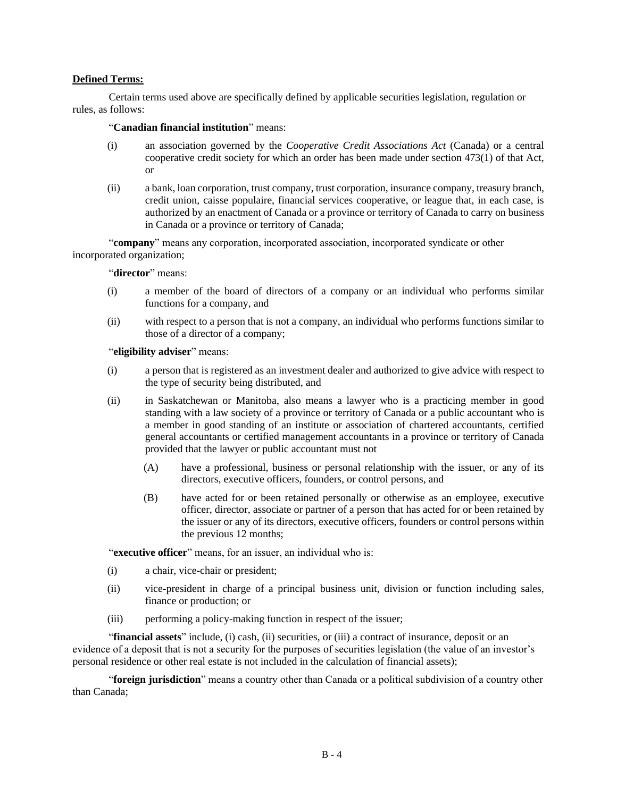# **Defined Terms:**

Certain terms used above are specifically defined by applicable securities legislation, regulation or rules, as follows:

# "**Canadian financial institution**" means:

- (i) an association governed by the *Cooperative Credit Associations Act* (Canada) or a central cooperative credit society for which an order has been made under section 473(1) of that Act, or
- (ii) a bank, loan corporation, trust company, trust corporation, insurance company, treasury branch, credit union, caisse populaire, financial services cooperative, or league that, in each case, is authorized by an enactment of Canada or a province or territory of Canada to carry on business in Canada or a province or territory of Canada;

"**company**" means any corporation, incorporated association, incorporated syndicate or other incorporated organization;

### "**director**" means:

- (i) a member of the board of directors of a company or an individual who performs similar functions for a company, and
- (ii) with respect to a person that is not a company, an individual who performs functions similar to those of a director of a company;

### "**eligibility adviser**" means:

- (i) a person that is registered as an investment dealer and authorized to give advice with respect to the type of security being distributed, and
- (ii) in Saskatchewan or Manitoba, also means a lawyer who is a practicing member in good standing with a law society of a province or territory of Canada or a public accountant who is a member in good standing of an institute or association of chartered accountants, certified general accountants or certified management accountants in a province or territory of Canada provided that the lawyer or public accountant must not
	- (A) have a professional, business or personal relationship with the issuer, or any of its directors, executive officers, founders, or control persons, and
	- (B) have acted for or been retained personally or otherwise as an employee, executive officer, director, associate or partner of a person that has acted for or been retained by the issuer or any of its directors, executive officers, founders or control persons within the previous 12 months;

"**executive officer**" means, for an issuer, an individual who is:

- (i) a chair, vice-chair or president;
- (ii) vice-president in charge of a principal business unit, division or function including sales, finance or production; or
- (iii) performing a policy-making function in respect of the issuer;

"**financial assets**" include, (i) cash, (ii) securities, or (iii) a contract of insurance, deposit or an evidence of a deposit that is not a security for the purposes of securities legislation (the value of an investor's personal residence or other real estate is not included in the calculation of financial assets);

"**foreign jurisdiction**" means a country other than Canada or a political subdivision of a country other than Canada;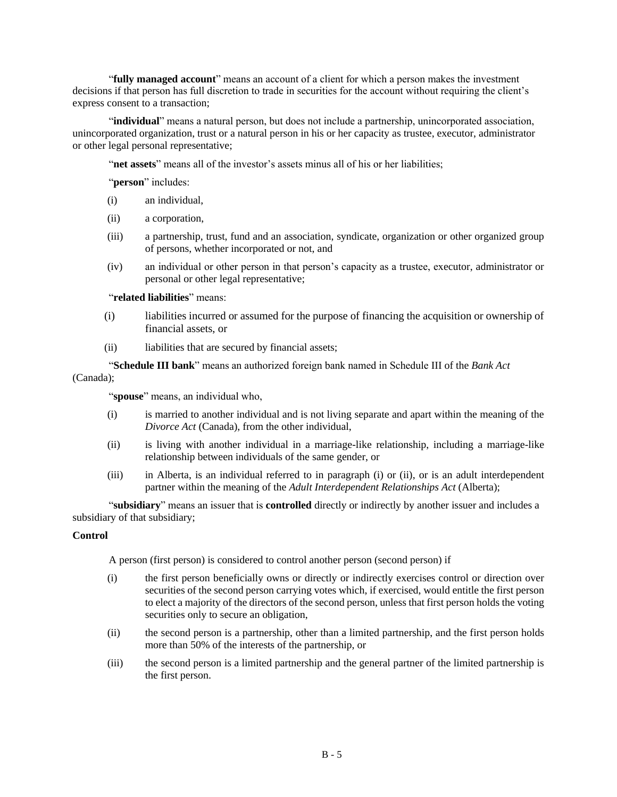"**fully managed account**" means an account of a client for which a person makes the investment decisions if that person has full discretion to trade in securities for the account without requiring the client's express consent to a transaction;

"**individual**" means a natural person, but does not include a partnership, unincorporated association, unincorporated organization, trust or a natural person in his or her capacity as trustee, executor, administrator or other legal personal representative;

"**net assets**" means all of the investor's assets minus all of his or her liabilities;

"**person**" includes:

- (i) an individual,
- (ii) a corporation,
- (iii) a partnership, trust, fund and an association, syndicate, organization or other organized group of persons, whether incorporated or not, and
- (iv) an individual or other person in that person's capacity as a trustee, executor, administrator or personal or other legal representative;

### "**related liabilities**" means:

- (i) liabilities incurred or assumed for the purpose of financing the acquisition or ownership of financial assets, or
- (ii) liabilities that are secured by financial assets;

"**Schedule III bank**" means an authorized foreign bank named in Schedule III of the *Bank Act*

# (Canada);

"**spouse**" means, an individual who,

- (i) is married to another individual and is not living separate and apart within the meaning of the *Divorce Act* (Canada), from the other individual,
- (ii) is living with another individual in a marriage-like relationship, including a marriage-like relationship between individuals of the same gender, or
- (iii) in Alberta, is an individual referred to in paragraph (i) or (ii), or is an adult interdependent partner within the meaning of the *Adult Interdependent Relationships Act* (Alberta);

"**subsidiary**" means an issuer that is **controlled** directly or indirectly by another issuer and includes a subsidiary of that subsidiary;

### **Control**

A person (first person) is considered to control another person (second person) if

- (i) the first person beneficially owns or directly or indirectly exercises control or direction over securities of the second person carrying votes which, if exercised, would entitle the first person to elect a majority of the directors of the second person, unless that first person holds the voting securities only to secure an obligation,
- (ii) the second person is a partnership, other than a limited partnership, and the first person holds more than 50% of the interests of the partnership, or
- (iii) the second person is a limited partnership and the general partner of the limited partnership is the first person.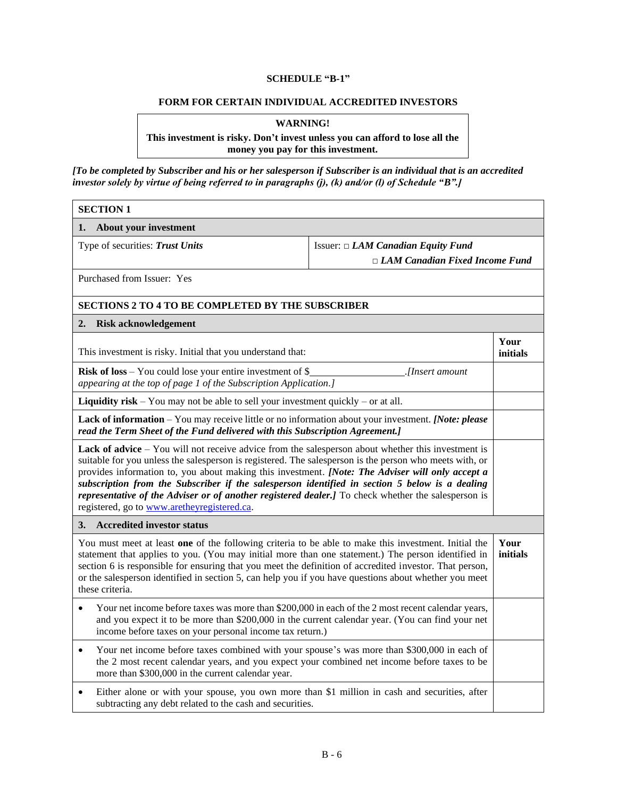# **SCHEDULE "B-1"**

### **FORM FOR CERTAIN INDIVIDUAL ACCREDITED INVESTORS**

# **WARNING!**

### **This investment is risky. Don't invest unless you can afford to lose all the money you pay for this investment.**

*[To be completed by Subscriber and his or her salesperson if Subscriber is an individual that is an accredited investor solely by virtue of being referred to in paragraphs (j), (k) and/or (l) of Schedule "B".]*

| <b>SECTION 1</b>                                                                                                                                                                                                                                                                                                                                                                                                                                                                                                                                                                 |                                                                                         |                  |
|----------------------------------------------------------------------------------------------------------------------------------------------------------------------------------------------------------------------------------------------------------------------------------------------------------------------------------------------------------------------------------------------------------------------------------------------------------------------------------------------------------------------------------------------------------------------------------|-----------------------------------------------------------------------------------------|------------------|
| About your investment<br>1.                                                                                                                                                                                                                                                                                                                                                                                                                                                                                                                                                      |                                                                                         |                  |
| Type of securities: Trust Units                                                                                                                                                                                                                                                                                                                                                                                                                                                                                                                                                  | Issuer: $\Box$ <i>LAM Canadian Equity Fund</i><br>$\Box$ LAM Canadian Fixed Income Fund |                  |
| Purchased from Issuer: Yes                                                                                                                                                                                                                                                                                                                                                                                                                                                                                                                                                       |                                                                                         |                  |
| <b>SECTIONS 2 TO 4 TO BE COMPLETED BY THE SUBSCRIBER</b>                                                                                                                                                                                                                                                                                                                                                                                                                                                                                                                         |                                                                                         |                  |
| 2.<br><b>Risk acknowledgement</b>                                                                                                                                                                                                                                                                                                                                                                                                                                                                                                                                                |                                                                                         |                  |
| This investment is risky. Initial that you understand that:                                                                                                                                                                                                                                                                                                                                                                                                                                                                                                                      |                                                                                         |                  |
| <b>Risk of loss</b> – You could lose your entire investment of $\S$<br>. <i>[Insert amount</i><br>appearing at the top of page 1 of the Subscription Application.]                                                                                                                                                                                                                                                                                                                                                                                                               |                                                                                         |                  |
| <b>Liquidity risk</b> – You may not be able to sell your investment quickly – or at all.                                                                                                                                                                                                                                                                                                                                                                                                                                                                                         |                                                                                         |                  |
| <b>Lack of information</b> – You may receive little or no information about your investment. [Note: please<br>read the Term Sheet of the Fund delivered with this Subscription Agreement.]                                                                                                                                                                                                                                                                                                                                                                                       |                                                                                         |                  |
| <b>Lack of advice</b> – You will not receive advice from the salesperson about whether this investment is<br>suitable for you unless the salesperson is registered. The salesperson is the person who meets with, or<br>provides information to, you about making this investment. [Note: The Adviser will only accept a<br>subscription from the Subscriber if the salesperson identified in section 5 below is a dealing<br>representative of the Adviser or of another registered dealer.] To check whether the salesperson is<br>registered, go to www.aretheyregistered.ca. |                                                                                         |                  |
| <b>Accredited investor status</b><br>3.                                                                                                                                                                                                                                                                                                                                                                                                                                                                                                                                          |                                                                                         |                  |
| You must meet at least one of the following criteria to be able to make this investment. Initial the<br>statement that applies to you. (You may initial more than one statement.) The person identified in<br>section 6 is responsible for ensuring that you meet the definition of accredited investor. That person,<br>or the salesperson identified in section 5, can help you if you have questions about whether you meet<br>these criteria.                                                                                                                                |                                                                                         | Your<br>initials |
| Your net income before taxes was more than \$200,000 in each of the 2 most recent calendar years,<br>$\bullet$<br>and you expect it to be more than \$200,000 in the current calendar year. (You can find your net<br>income before taxes on your personal income tax return.)                                                                                                                                                                                                                                                                                                   |                                                                                         |                  |
| Your net income before taxes combined with your spouse's was more than \$300,000 in each of<br>$\bullet$<br>the 2 most recent calendar years, and you expect your combined net income before taxes to be<br>more than \$300,000 in the current calendar year.                                                                                                                                                                                                                                                                                                                    |                                                                                         |                  |
| Either alone or with your spouse, you own more than \$1 million in cash and securities, after<br>$\bullet$<br>subtracting any debt related to the cash and securities.                                                                                                                                                                                                                                                                                                                                                                                                           |                                                                                         |                  |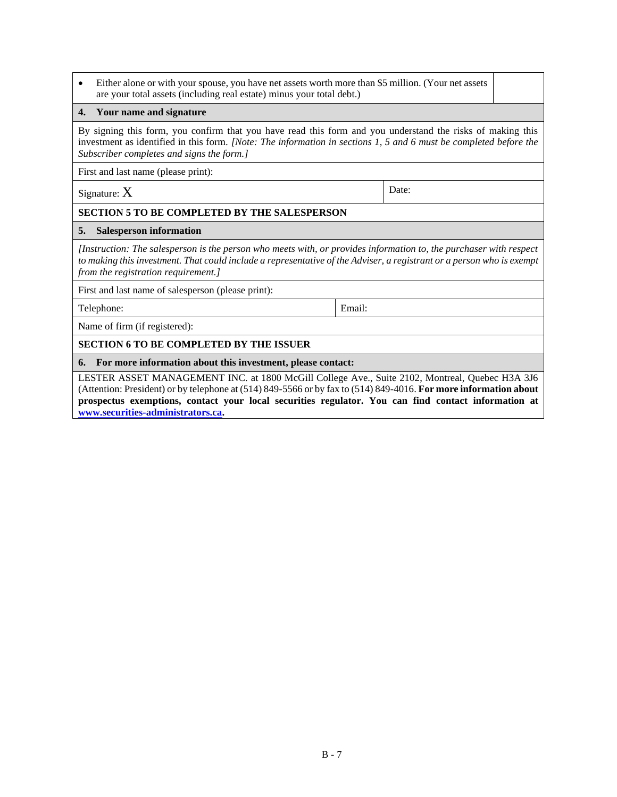• Either alone or with your spouse, you have net assets worth more than \$5 million. (Your net assets are your total assets (including real estate) minus your total debt.)

### **4. Your name and signature**

By signing this form, you confirm that you have read this form and you understand the risks of making this investment as identified in this form. *[Note: The information in sections 1, 5 and 6 must be completed before the Subscriber completes and signs the form.]*

First and last name (please print):

 $Signature: X$  Date:

### **SECTION 5 TO BE COMPLETED BY THE SALESPERSON**

### **5. Salesperson information**

*[Instruction: The salesperson is the person who meets with, or provides information to, the purchaser with respect*  to making this investment. That could include a representative of the Adviser, a registrant or a person who is exempt *from the registration requirement.]*

First and last name of salesperson (please print):

Telephone: Email:

Name of firm (if registered):

### **SECTION 6 TO BE COMPLETED BY THE ISSUER**

**6. For more information about this investment, please contact:**

LESTER ASSET MANAGEMENT INC. at 1800 McGill College Ave., Suite 2102, Montreal, Quebec H3A 3J6 (Attention: President) or by telephone at (514) 849-5566 or by fax to (514) 849-4016. **For more information about prospectus exemptions, contact your local securities regulator. You can find contact information at [www.securities-administrators.ca.](http://www.securities-administrators.ca/)**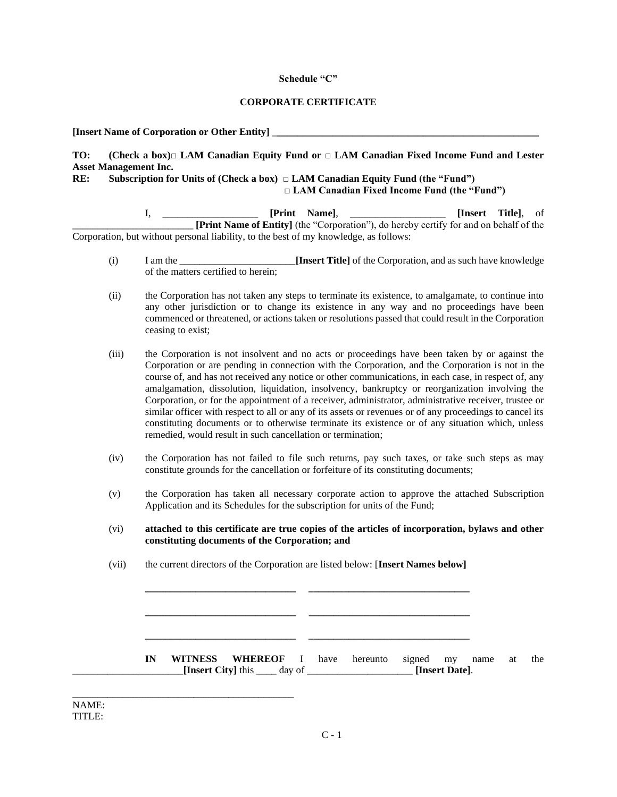### **Schedule "C"**

### **CORPORATE CERTIFICATE**

**[Insert Name of Corporation or Other Entity]** \_**\_\_\_\_\_\_\_\_\_\_\_\_\_\_\_\_\_\_\_\_\_\_\_\_\_\_\_\_\_\_\_\_\_\_\_\_\_\_\_\_\_\_\_\_\_\_\_\_\_\_\_\_**

# **TO: (Check a box)□ LAM Canadian Equity Fund or □ LAM Canadian Fixed Income Fund and Lester Asset Management Inc.**

### **RE: Subscription for Units of (Check a box) □ LAM Canadian Equity Fund (the "Fund") □ LAM Canadian Fixed Income Fund (the "Fund")**

I, \_\_\_\_\_\_\_\_\_\_\_\_\_\_\_\_\_\_\_ **[Print Name]**, \_\_\_\_\_\_\_\_\_\_\_\_\_\_\_\_\_\_\_ **[Insert Title]**, of \_\_\_\_\_\_\_\_\_\_\_\_\_\_\_\_\_\_\_\_\_\_\_\_ **[Print Name of Entity]** (the "Corporation"), do hereby certify for and on behalf of the Corporation, but without personal liability, to the best of my knowledge, as follows:

- (i) I am the \_\_\_\_\_\_\_\_\_\_\_\_\_\_\_\_\_\_\_\_\_\_\_**[Insert Title]** of the Corporation, and as such have knowledge of the matters certified to herein;
- (ii) the Corporation has not taken any steps to terminate its existence, to amalgamate, to continue into any other jurisdiction or to change its existence in any way and no proceedings have been commenced or threatened, or actions taken or resolutions passed that could result in the Corporation ceasing to exist;
- (iii) the Corporation is not insolvent and no acts or proceedings have been taken by or against the Corporation or are pending in connection with the Corporation, and the Corporation is not in the course of, and has not received any notice or other communications, in each case, in respect of, any amalgamation, dissolution, liquidation, insolvency, bankruptcy or reorganization involving the Corporation, or for the appointment of a receiver, administrator, administrative receiver, trustee or similar officer with respect to all or any of its assets or revenues or of any proceedings to cancel its constituting documents or to otherwise terminate its existence or of any situation which, unless remedied, would result in such cancellation or termination;
- (iv) the Corporation has not failed to file such returns, pay such taxes, or take such steps as may constitute grounds for the cancellation or forfeiture of its constituting documents;
- (v) the Corporation has taken all necessary corporate action to approve the attached Subscription Application and its Schedules for the subscription for units of the Fund;
- (vi) **attached to this certificate are true copies of the articles of incorporation, bylaws and other constituting documents of the Corporation; and**
- (vii) the current directors of the Corporation are listed below: [**Insert Names below]**

**\_\_\_\_\_\_\_\_\_\_\_\_\_\_\_\_\_\_\_\_\_\_\_\_\_\_\_\_\_\_ \_\_\_\_\_\_\_\_\_\_\_\_\_\_\_\_\_\_\_\_\_\_\_\_\_\_\_\_\_\_\_\_**

**\_\_\_\_\_\_\_\_\_\_\_\_\_\_\_\_\_\_\_\_\_\_\_\_\_\_\_\_\_\_ \_\_\_\_\_\_\_\_\_\_\_\_\_\_\_\_\_\_\_\_\_\_\_\_\_\_\_\_\_\_\_\_**

**\_\_\_\_\_\_\_\_\_\_\_\_\_\_\_\_\_\_\_\_\_\_\_\_\_\_\_\_\_\_ \_\_\_\_\_\_\_\_\_\_\_\_\_\_\_\_\_\_\_\_\_\_\_\_\_\_\_\_\_\_\_\_**

**IN WITNESS WHEREOF** I have hereunto signed my name at the \_\_\_\_\_\_\_\_\_\_\_\_\_\_\_\_\_\_\_\_\_\_**[Insert City]** this \_\_\_\_ day of \_\_\_\_\_\_\_\_\_\_\_\_\_\_\_\_\_\_\_\_\_ **[Insert Date]**.

\_\_\_\_\_\_\_\_\_\_\_\_\_\_\_\_\_\_\_\_\_\_\_\_\_\_\_\_\_\_\_\_\_\_\_\_\_\_\_\_\_\_\_\_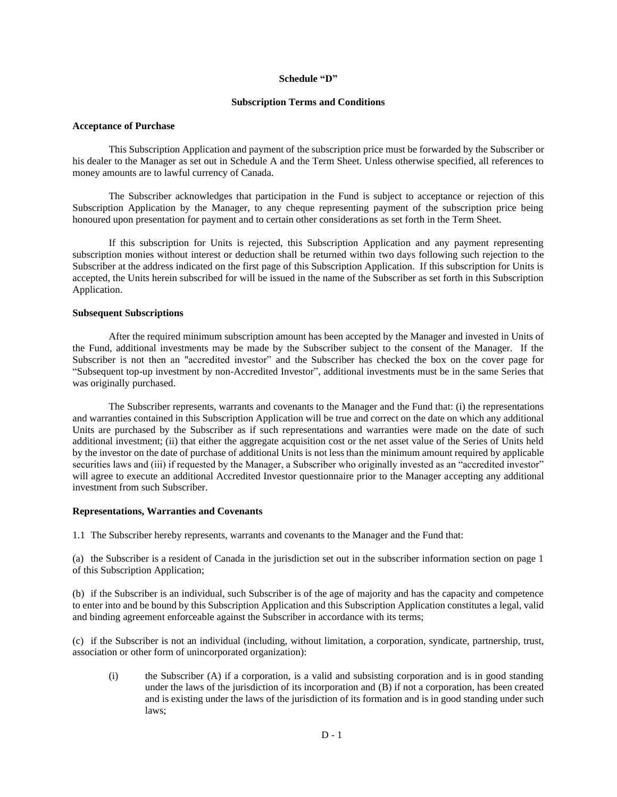#### **Schedule "D"**

#### **Subscription Terms and Conditions**

#### **Acceptance of Purchase**

This Subscription Application and payment of the subscription price must be forwarded by the Subscriber or his dealer to the Manager as set out in Schedule A and the Term Sheet. Unless otherwise specified, all references to money amounts are to lawful currency of Canada.

The Subscriber acknowledges that participation in the Fund is subject to acceptance or rejection of this Subscription Application by the Manager, to any cheque representing payment of the subscription price being honoured upon presentation for payment and to certain other considerations as set forth in the Term Sheet.

If this subscription for Units is rejected, this Subscription Application and any payment representing subscription monies without interest or deduction shall be returned within two days following such rejection to the Subscriber at the address indicated on the first page of this Subscription Application. If this subscription for Units is accepted, the Units herein subscribed for will be issued in the name of the Subscriber as set forth in this Subscription Application.

#### **Subsequent Subscriptions**

After the required minimum subscription amount has been accepted by the Manager and invested in Units of the Fund, additional investments may be made by the Subscriber subject to the consent of the Manager. If the Subscriber is not then an "accredited investor" and the Subscriber has checked the box on the cover page for "Subsequent top-up investment by non-Accredited Investor", additional investments must be in the same Series that was originally purchased.

The Subscriber represents, warrants and covenants to the Manager and the Fund that: (i) the representations and warranties contained in this Subscription Application will be true and correct on the date on which any additional Units are purchased by the Subscriber as if such representations and warranties were made on the date of such additional investment; (ii) that either the aggregate acquisition cost or the net asset value of the Series of Units held by the investor on the date of purchase of additional Units is not less than the minimum amount required by applicable securities laws and (iii) if requested by the Manager, a Subscriber who originally invested as an "accredited investor" will agree to execute an additional Accredited Investor questionnaire prior to the Manager accepting any additional investment from such Subscriber.

#### **Representations, Warranties and Covenants**

1.1 The Subscriber hereby represents, warrants and covenants to the Manager and the Fund that:

(a) the Subscriber is a resident of Canada in the jurisdiction set out in the subscriber information section on page 1 of this Subscription Application;

(b) if the Subscriber is an individual, such Subscriber is of the age of majority and has the capacity and competence to enter into and be bound by this Subscription Application and this Subscription Application constitutes a legal, valid and binding agreement enforceable against the Subscriber in accordance with its terms;

(c) if the Subscriber is not an individual (including, without limitation, a corporation, syndicate, partnership, trust, association or other form of unincorporated organization):

(i) the Subscriber (A) if a corporation, is a valid and subsisting corporation and is in good standing under the laws of the jurisdiction of its incorporation and (B) if not a corporation, has been created and is existing under the laws of the jurisdiction of its formation and is in good standing under such laws;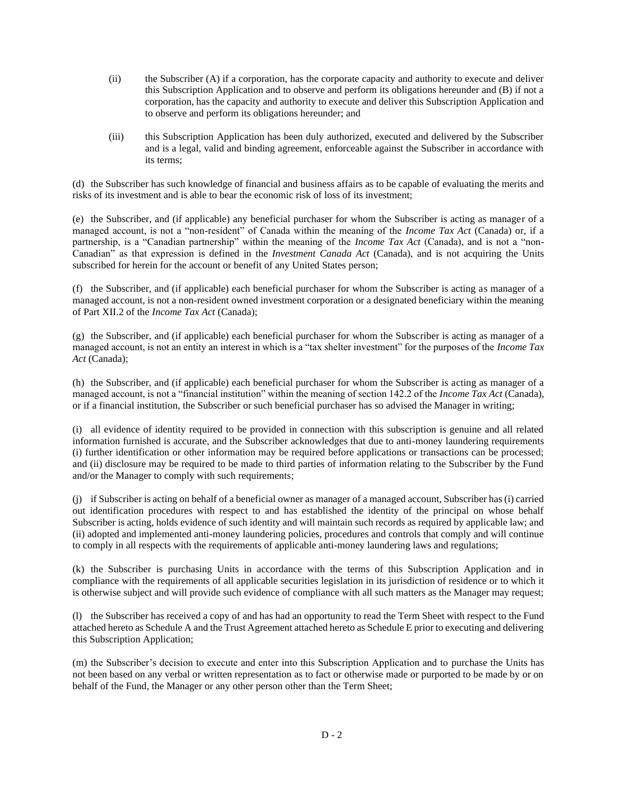- (ii) the Subscriber (A) if a corporation, has the corporate capacity and authority to execute and deliver this Subscription Application and to observe and perform its obligations hereunder and (B) if not a corporation, has the capacity and authority to execute and deliver this Subscription Application and to observe and perform its obligations hereunder; and
- (iii) this Subscription Application has been duly authorized, executed and delivered by the Subscriber and is a legal, valid and binding agreement, enforceable against the Subscriber in accordance with its terms;

(d) the Subscriber has such knowledge of financial and business affairs as to be capable of evaluating the merits and risks of its investment and is able to bear the economic risk of loss of its investment;

(e) the Subscriber, and (if applicable) any beneficial purchaser for whom the Subscriber is acting as manager of a managed account, is not a "non-resident" of Canada within the meaning of the *Income Tax Act* (Canada) or, if a partnership, is a "Canadian partnership" within the meaning of the *Income Tax Act* (Canada), and is not a "non-Canadian" as that expression is defined in the *Investment Canada Act* (Canada), and is not acquiring the Units subscribed for herein for the account or benefit of any United States person;

(f) the Subscriber, and (if applicable) each beneficial purchaser for whom the Subscriber is acting as manager of a managed account, is not a non-resident owned investment corporation or a designated beneficiary within the meaning of Part XII.2 of the *Income Tax Act* (Canada);

(g) the Subscriber, and (if applicable) each beneficial purchaser for whom the Subscriber is acting as manager of a managed account, is not an entity an interest in which is a "tax shelter investment" for the purposes of the *Income Tax Act* (Canada);

(h) the Subscriber, and (if applicable) each beneficial purchaser for whom the Subscriber is acting as manager of a managed account, is not a "financial institution" within the meaning of section 142.2 of the *Income Tax Act* (Canada), or if a financial institution, the Subscriber or such beneficial purchaser has so advised the Manager in writing;

(i) all evidence of identity required to be provided in connection with this subscription is genuine and all related information furnished is accurate, and the Subscriber acknowledges that due to anti-money laundering requirements (i) further identification or other information may be required before applications or transactions can be processed; and (ii) disclosure may be required to be made to third parties of information relating to the Subscriber by the Fund and/or the Manager to comply with such requirements;

(j) if Subscriber is acting on behalf of a beneficial owner as manager of a managed account, Subscriber has (i) carried out identification procedures with respect to and has established the identity of the principal on whose behalf Subscriber is acting, holds evidence of such identity and will maintain such records as required by applicable law; and (ii) adopted and implemented anti-money laundering policies, procedures and controls that comply and will continue to comply in all respects with the requirements of applicable anti-money laundering laws and regulations;

(k) the Subscriber is purchasing Units in accordance with the terms of this Subscription Application and in compliance with the requirements of all applicable securities legislation in its jurisdiction of residence or to which it is otherwise subject and will provide such evidence of compliance with all such matters as the Manager may request;

(l) the Subscriber has received a copy of and has had an opportunity to read the Term Sheet with respect to the Fund attached hereto as Schedule A and the Trust Agreement attached hereto as Schedule E prior to executing and delivering this Subscription Application;

(m) the Subscriber's decision to execute and enter into this Subscription Application and to purchase the Units has not been based on any verbal or written representation as to fact or otherwise made or purported to be made by or on behalf of the Fund, the Manager or any other person other than the Term Sheet;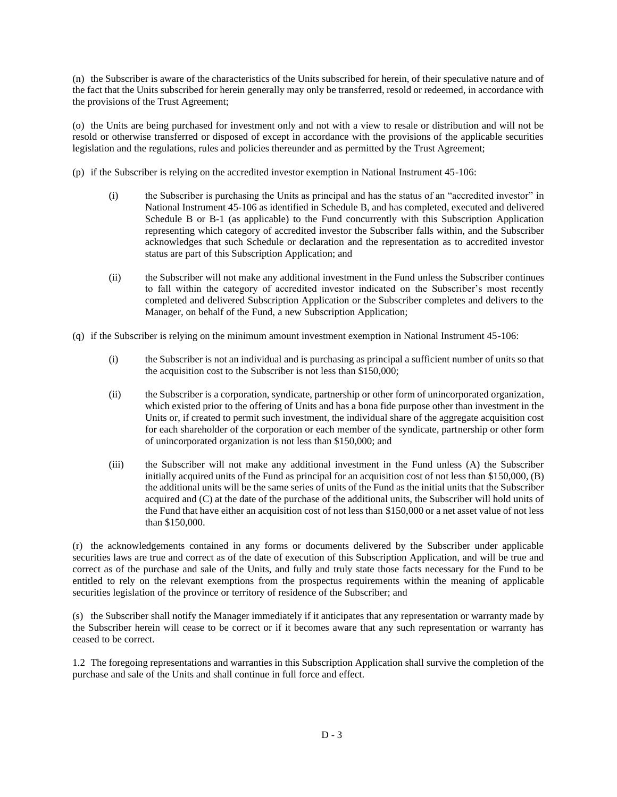(n) the Subscriber is aware of the characteristics of the Units subscribed for herein, of their speculative nature and of the fact that the Units subscribed for herein generally may only be transferred, resold or redeemed, in accordance with the provisions of the Trust Agreement;

(o) the Units are being purchased for investment only and not with a view to resale or distribution and will not be resold or otherwise transferred or disposed of except in accordance with the provisions of the applicable securities legislation and the regulations, rules and policies thereunder and as permitted by the Trust Agreement;

(p) if the Subscriber is relying on the accredited investor exemption in National Instrument 45-106:

- (i) the Subscriber is purchasing the Units as principal and has the status of an "accredited investor" in National Instrument 45-106 as identified in Schedule B, and has completed, executed and delivered Schedule B or B-1 (as applicable) to the Fund concurrently with this Subscription Application representing which category of accredited investor the Subscriber falls within, and the Subscriber acknowledges that such Schedule or declaration and the representation as to accredited investor status are part of this Subscription Application; and
- (ii) the Subscriber will not make any additional investment in the Fund unless the Subscriber continues to fall within the category of accredited investor indicated on the Subscriber's most recently completed and delivered Subscription Application or the Subscriber completes and delivers to the Manager, on behalf of the Fund, a new Subscription Application;

(q) if the Subscriber is relying on the minimum amount investment exemption in National Instrument 45-106:

- (i) the Subscriber is not an individual and is purchasing as principal a sufficient number of units so that the acquisition cost to the Subscriber is not less than \$150,000;
- (ii) the Subscriber is a corporation, syndicate, partnership or other form of unincorporated organization, which existed prior to the offering of Units and has a bona fide purpose other than investment in the Units or, if created to permit such investment, the individual share of the aggregate acquisition cost for each shareholder of the corporation or each member of the syndicate, partnership or other form of unincorporated organization is not less than \$150,000; and
- (iii) the Subscriber will not make any additional investment in the Fund unless (A) the Subscriber initially acquired units of the Fund as principal for an acquisition cost of not less than \$150,000, (B) the additional units will be the same series of units of the Fund as the initial units that the Subscriber acquired and (C) at the date of the purchase of the additional units, the Subscriber will hold units of the Fund that have either an acquisition cost of not less than \$150,000 or a net asset value of not less than \$150,000.

(r) the acknowledgements contained in any forms or documents delivered by the Subscriber under applicable securities laws are true and correct as of the date of execution of this Subscription Application, and will be true and correct as of the purchase and sale of the Units, and fully and truly state those facts necessary for the Fund to be entitled to rely on the relevant exemptions from the prospectus requirements within the meaning of applicable securities legislation of the province or territory of residence of the Subscriber; and

(s) the Subscriber shall notify the Manager immediately if it anticipates that any representation or warranty made by the Subscriber herein will cease to be correct or if it becomes aware that any such representation or warranty has ceased to be correct.

1.2 The foregoing representations and warranties in this Subscription Application shall survive the completion of the purchase and sale of the Units and shall continue in full force and effect.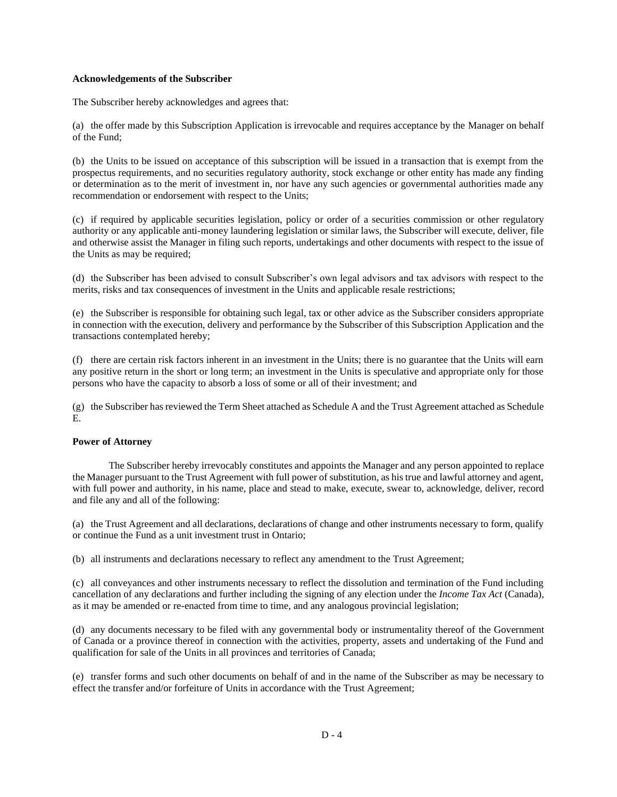#### **Acknowledgements of the Subscriber**

The Subscriber hereby acknowledges and agrees that:

(a) the offer made by this Subscription Application is irrevocable and requires acceptance by the Manager on behalf of the Fund;

(b) the Units to be issued on acceptance of this subscription will be issued in a transaction that is exempt from the prospectus requirements, and no securities regulatory authority, stock exchange or other entity has made any finding or determination as to the merit of investment in, nor have any such agencies or governmental authorities made any recommendation or endorsement with respect to the Units;

(c) if required by applicable securities legislation, policy or order of a securities commission or other regulatory authority or any applicable anti-money laundering legislation or similar laws, the Subscriber will execute, deliver, file and otherwise assist the Manager in filing such reports, undertakings and other documents with respect to the issue of the Units as may be required;

(d) the Subscriber has been advised to consult Subscriber's own legal advisors and tax advisors with respect to the merits, risks and tax consequences of investment in the Units and applicable resale restrictions;

(e) the Subscriber is responsible for obtaining such legal, tax or other advice as the Subscriber considers appropriate in connection with the execution, delivery and performance by the Subscriber of this Subscription Application and the transactions contemplated hereby;

(f) there are certain risk factors inherent in an investment in the Units; there is no guarantee that the Units will earn any positive return in the short or long term; an investment in the Units is speculative and appropriate only for those persons who have the capacity to absorb a loss of some or all of their investment; and

(g) the Subscriber has reviewed the Term Sheet attached as Schedule A and the Trust Agreement attached as Schedule E.

### **Power of Attorney**

The Subscriber hereby irrevocably constitutes and appoints the Manager and any person appointed to replace the Manager pursuant to the Trust Agreement with full power of substitution, as his true and lawful attorney and agent, with full power and authority, in his name, place and stead to make, execute, swear to, acknowledge, deliver, record and file any and all of the following:

(a) the Trust Agreement and all declarations, declarations of change and other instruments necessary to form, qualify or continue the Fund as a unit investment trust in Ontario;

(b) all instruments and declarations necessary to reflect any amendment to the Trust Agreement;

(c) all conveyances and other instruments necessary to reflect the dissolution and termination of the Fund including cancellation of any declarations and further including the signing of any election under the *Income Tax Act* (Canada), as it may be amended or re-enacted from time to time, and any analogous provincial legislation;

(d) any documents necessary to be filed with any governmental body or instrumentality thereof of the Government of Canada or a province thereof in connection with the activities, property, assets and undertaking of the Fund and qualification for sale of the Units in all provinces and territories of Canada;

(e) transfer forms and such other documents on behalf of and in the name of the Subscriber as may be necessary to effect the transfer and/or forfeiture of Units in accordance with the Trust Agreement;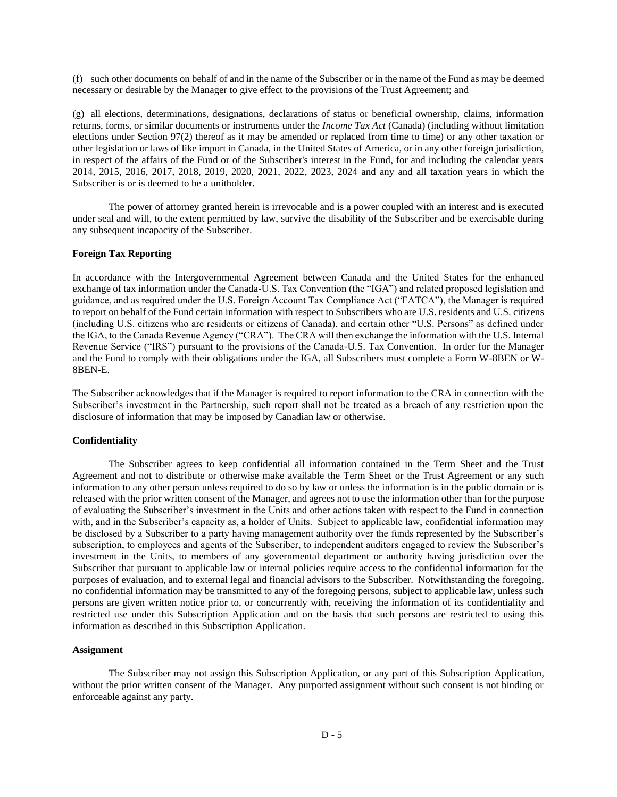(f) such other documents on behalf of and in the name of the Subscriber or in the name of the Fund as may be deemed necessary or desirable by the Manager to give effect to the provisions of the Trust Agreement; and

(g) all elections, determinations, designations, declarations of status or beneficial ownership, claims, information returns, forms, or similar documents or instruments under the *Income Tax Act* (Canada) (including without limitation elections under Section 97(2) thereof as it may be amended or replaced from time to time) or any other taxation or other legislation or laws of like import in Canada, in the United States of America, or in any other foreign jurisdiction, in respect of the affairs of the Fund or of the Subscriber's interest in the Fund, for and including the calendar years 2014, 2015, 2016, 2017, 2018, 2019, 2020, 2021, 2022, 2023, 2024 and any and all taxation years in which the Subscriber is or is deemed to be a unitholder.

The power of attorney granted herein is irrevocable and is a power coupled with an interest and is executed under seal and will, to the extent permitted by law, survive the disability of the Subscriber and be exercisable during any subsequent incapacity of the Subscriber.

### **Foreign Tax Reporting**

In accordance with the Intergovernmental Agreement between Canada and the United States for the enhanced exchange of tax information under the Canada-U.S. Tax Convention (the "IGA") and related proposed legislation and guidance, and as required under the U.S. Foreign Account Tax Compliance Act ("FATCA"), the Manager is required to report on behalf of the Fund certain information with respect to Subscribers who are U.S. residents and U.S. citizens (including U.S. citizens who are residents or citizens of Canada), and certain other "U.S. Persons" as defined under the IGA, to the Canada Revenue Agency ("CRA"). The CRA will then exchange the information with the U.S. Internal Revenue Service ("IRS") pursuant to the provisions of the Canada-U.S. Tax Convention. In order for the Manager and the Fund to comply with their obligations under the IGA, all Subscribers must complete a Form W-8BEN or W-8BEN-E.

The Subscriber acknowledges that if the Manager is required to report information to the CRA in connection with the Subscriber's investment in the Partnership, such report shall not be treated as a breach of any restriction upon the disclosure of information that may be imposed by Canadian law or otherwise.

#### **Confidentiality**

The Subscriber agrees to keep confidential all information contained in the Term Sheet and the Trust Agreement and not to distribute or otherwise make available the Term Sheet or the Trust Agreement or any such information to any other person unless required to do so by law or unless the information is in the public domain or is released with the prior written consent of the Manager, and agrees not to use the information other than for the purpose of evaluating the Subscriber's investment in the Units and other actions taken with respect to the Fund in connection with, and in the Subscriber's capacity as, a holder of Units. Subject to applicable law, confidential information may be disclosed by a Subscriber to a party having management authority over the funds represented by the Subscriber's subscription, to employees and agents of the Subscriber, to independent auditors engaged to review the Subscriber's investment in the Units, to members of any governmental department or authority having jurisdiction over the Subscriber that pursuant to applicable law or internal policies require access to the confidential information for the purposes of evaluation, and to external legal and financial advisors to the Subscriber. Notwithstanding the foregoing, no confidential information may be transmitted to any of the foregoing persons, subject to applicable law, unless such persons are given written notice prior to, or concurrently with, receiving the information of its confidentiality and restricted use under this Subscription Application and on the basis that such persons are restricted to using this information as described in this Subscription Application.

#### **Assignment**

The Subscriber may not assign this Subscription Application, or any part of this Subscription Application, without the prior written consent of the Manager. Any purported assignment without such consent is not binding or enforceable against any party.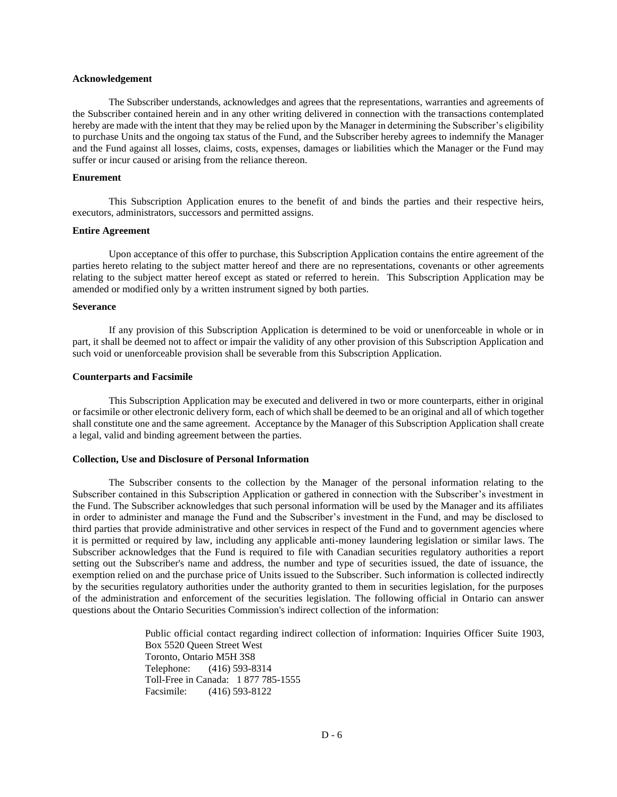#### **Acknowledgement**

The Subscriber understands, acknowledges and agrees that the representations, warranties and agreements of the Subscriber contained herein and in any other writing delivered in connection with the transactions contemplated hereby are made with the intent that they may be relied upon by the Manager in determining the Subscriber's eligibility to purchase Units and the ongoing tax status of the Fund, and the Subscriber hereby agrees to indemnify the Manager and the Fund against all losses, claims, costs, expenses, damages or liabilities which the Manager or the Fund may suffer or incur caused or arising from the reliance thereon.

#### **Enurement**

This Subscription Application enures to the benefit of and binds the parties and their respective heirs, executors, administrators, successors and permitted assigns.

#### **Entire Agreement**

Upon acceptance of this offer to purchase, this Subscription Application contains the entire agreement of the parties hereto relating to the subject matter hereof and there are no representations, covenants or other agreements relating to the subject matter hereof except as stated or referred to herein.This Subscription Application may be amended or modified only by a written instrument signed by both parties.

#### **Severance**

If any provision of this Subscription Application is determined to be void or unenforceable in whole or in part, it shall be deemed not to affect or impair the validity of any other provision of this Subscription Application and such void or unenforceable provision shall be severable from this Subscription Application.

#### **Counterparts and Facsimile**

This Subscription Application may be executed and delivered in two or more counterparts, either in original or facsimile or other electronic delivery form, each of which shall be deemed to be an original and all of which together shall constitute one and the same agreement. Acceptance by the Manager of this Subscription Application shall create a legal, valid and binding agreement between the parties.

#### **Collection, Use and Disclosure of Personal Information**

The Subscriber consents to the collection by the Manager of the personal information relating to the Subscriber contained in this Subscription Application or gathered in connection with the Subscriber's investment in the Fund. The Subscriber acknowledges that such personal information will be used by the Manager and its affiliates in order to administer and manage the Fund and the Subscriber's investment in the Fund, and may be disclosed to third parties that provide administrative and other services in respect of the Fund and to government agencies where it is permitted or required by law, including any applicable anti-money laundering legislation or similar laws. The Subscriber acknowledges that the Fund is required to file with Canadian securities regulatory authorities a report setting out the Subscriber's name and address, the number and type of securities issued, the date of issuance, the exemption relied on and the purchase price of Units issued to the Subscriber. Such information is collected indirectly by the securities regulatory authorities under the authority granted to them in securities legislation, for the purposes of the administration and enforcement of the securities legislation. The following official in Ontario can answer questions about the Ontario Securities Commission's indirect collection of the information:

> Public official contact regarding indirect collection of information: Inquiries Officer Suite 1903, Box 5520 Queen Street West Toronto, Ontario M5H 3S8 Telephone: (416) 593-8314 Toll-Free in Canada: 1 877 785-1555 Facsimile: (416) 593-8122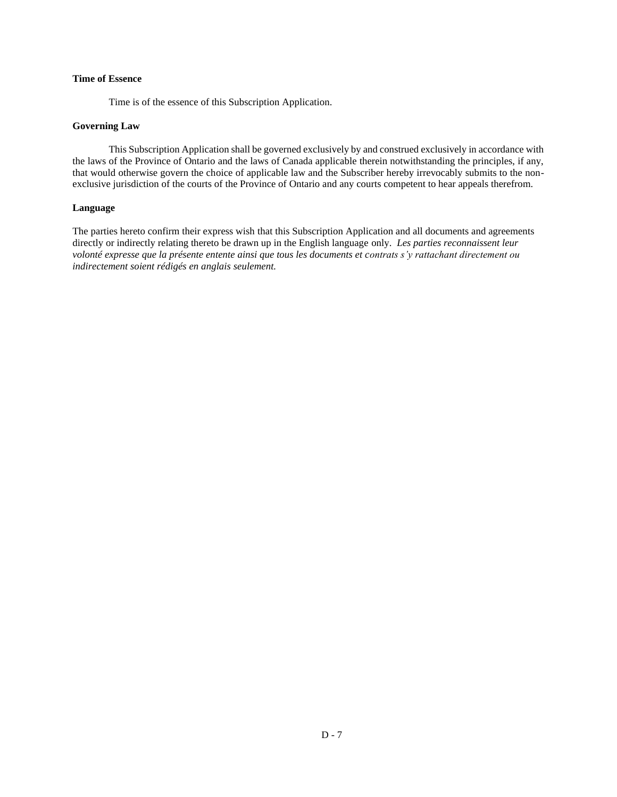## **Time of Essence**

Time is of the essence of this Subscription Application.

### **Governing Law**

This Subscription Application shall be governed exclusively by and construed exclusively in accordance with the laws of the Province of Ontario and the laws of Canada applicable therein notwithstanding the principles, if any, that would otherwise govern the choice of applicable law and the Subscriber hereby irrevocably submits to the nonexclusive jurisdiction of the courts of the Province of Ontario and any courts competent to hear appeals therefrom.

#### **Language**

The parties hereto confirm their express wish that this Subscription Application and all documents and agreements directly or indirectly relating thereto be drawn up in the English language only. *Les parties reconnaissent leur volonté expresse que la présente entente ainsi que tous les documents et contrats s'y rattachant directement ou indirectement soient rédigés en anglais seulement.*